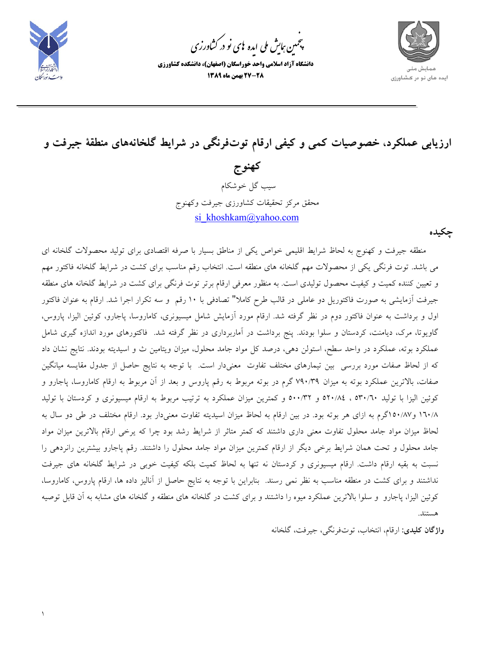

1

.<br>چمین <sub>ک</sub>ایش ملی ایده <sup>ب</sup>ای نو در کشاورزی ൕह

**دانشگاه آزاد اسلامي واحد خوراسگان (اصفهان)، دانشكده كشاورزي 27-28 بهمن ماه 1389** 



ارزیابی عملکرد، خصوصیات کمی و کیفی ارقام توتفرنگی در شرایط گلخانههای منطقهٔ جیرفت و

**كهنوج** سيب گل خوشكام محقق مركز تحقيقات كشاورزي جيرفت وكهنوج si khoshkam@yahoo.com

**چكيده** 

 منطقه جيرفت و كهنوج به لحاظ شرايط اقليمي خواص يكي از مناطق بسيار با صرفه اقتصادي براي توليد محصولات گلخانه اي مي باشد. توت فرنگي يكي از محصولات مهم گلخانه هاي منطقه است. انتخاب رقم مناسب براي كشت در شرايط گلخانه فاكتور مهم و تعيين كننده كميت و كيفيت محصول توليدي است. به منظور معرفي ارقام برتر توت فرنگي براي كشت در شرايط گلخانه هاي منطقه جيرفت آزمايشي به صورت فاكتوريل دو عاملي در قالب طرح كاملا" تصادفي با 10 رقم و سه تكرار اجرا شد. ارقام به عنوان فاكتور اول و برداشت به عنوان فاكتور دوم در نظر گرفته شد. ارقام مورد آزمايش شامل ميسيونري، كاماروسا، پاجارو، كوئين اليزا، پاروس، گاويوتا، مرك، ديامنت، كردستان و سلوا بودند. پنج برداشت در آماربرداري در نظر گرفته شد. فاكتورهاي مورد اندازه گيري شامل عملكرد بوته، عملكرد در واحد سطح، استولن دهي، درصد كل مواد جامد محلول، ميزان ويتامين ث و اسيديته بودند. نتايج نشان داد كه از لحاظ صفات مورد بررسي بين تيمارهاي مختلف تفاوت معنيدار است. با توجه به نتايج حاصل از جدول مقايسه ميانگين صفات، بالاترين عملكرد بوته به ميزان 790/39 گرم در بوته مربوط به رقم پاروس و بعد از آن مربوط به ارقام كاماروسا، پاجارو و كوئين اليزا با توليد 530/60 ، 520/84 و 500/32 و كمترين ميزان عملكرد به ترتيب مربوط به ارقام ميسيونري و كردستان با توليد 160/8 و150/87گرم به ازاي هر بوته بود. در بين ارقام به لحاظ ميزان اسيديته تفاوت معنيدار بود. ارقام مختلف در طي دو سال به لحاظ ميزان مواد جامد محلول تفاوت معني داري داشتند كه كمتر متاثر از شرايط رشد بود چرا كه يرخي ارقام بالاترين ميزان مواد جامد محلول و تحت همان شرايط برخي ديگر از ارقام كمترين ميزان مواد جامد محلول را داشتند. رقم پاجارو بيشترين رانردهي را نسبت به بقيه ارقام داشت. ارقام ميسيونري و كردستان نه تنها به لحاظ كميت بلكه كيفيت خوبي در شرايط گلخانه هاي جيرفت نداشتند و براي كشت در منطقه مناسب به نظر نمي رسند. بنابراين با توجه به نتايج حاصل از آناليز داده ها، ارقام پاروس، كاماروسا، كوئين اليزا، پاجارو و سلوا بالاترين عملكرد ميوه را داشتند و براي كشت در گلخانه هاي منطقه و گلخانه هاي مشابه به آن قابل توصيه هستند.

 **واژگان كليدي:** ارقام، انتخاب، توتفرنگي، جيرفت، گلخانه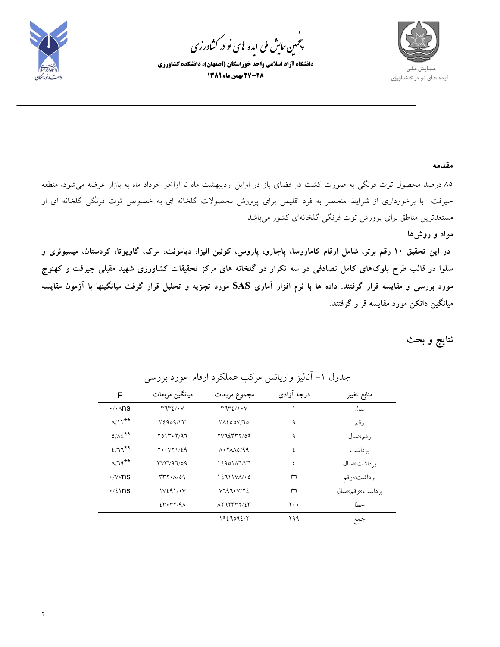

.<br>چمین <sub>ک</sub>ایش ملی ایده <sup>ب</sup>ای نو در کشاورزی ൕह

**دانشگاه آزاد اسلامي واحد خوراسگان (اصفهان)، دانشكده كشاورزي 27-28 بهمن ماه 1389** 



**مقدمه**

85 درصد محصول توت فرنگي به صورت كشت در فضاي باز در اوايل ارديبهشت ماه تا اواخر خرداد ماه به بازار عرضه ميشود، منطقه جيرفت با برخورداري از شرايط منحصر به فرد اقليمي براي پرورش محصولات گلخانه اي به خصوص توت فرنگي گلخانه اي از مستعدترين مناطق براي پرورش توت فرنگي گلخانهاي كشور ميباشد

**مواد و روشها** 

در این تحقیق ۱۰ رقم برتر، شامل ارقام کاماروسا، پاجارو، پاروس، کوئین الیزا، دیامونت، مرک، گاویوتا، کردستان، میسیونری و سلوا در قالب طرح بلوکهای کامل تصادفی در سه تکرار در گلخانه های مرکز تحقیقات کشاورزی شهید مقبلی جیرفت و کهنوج مورد بررسی و مقایسه قرار گرفتند. داده ها با نرم افزار آماری SAS مورد تجزیه و تحلیل قرار گرفت میانگینها با آزمون مقایسه **ميانگين دانكن مورد مقايسه قرار گرفتند.** 

**نتايج و بحث** 

| F                             | ميانگين مربعات            | مجموع مربعات                                     | درجه آزادي | منابع تغيير    |
|-------------------------------|---------------------------|--------------------------------------------------|------------|----------------|
| $\cdot$ / $\cdot$ $\wedge$ ns | $r\eta r\epsilon/\cdot v$ | $T^{\prime\prime}T^{\prime}$ $\ell/\ell \cdot V$ |            | سال            |
| $A/Y^{\star\star}$            | T2909/TT                  | ۳۸٤٥٥٧/٦٥                                        | ٩          | رقم            |
| $0/\lambda \xi$ **            | Y01Y. Y/97                | 7772777/09                                       | ٩          | رقم×سال        |
| $2/77$ **                     | $Y \cdot Y Y 1/\xi 9$     | $\Lambda$ . $\Lambda$ $\Lambda$ 0/99             | ٤          | بر داشت        |
| $\Lambda/\mathcal{A}^{**}$    | rvrv97/09                 | 12901AYT                                         | ٤          | بر داشت×سال    |
| $\cdot$ / $\vee$ ns           | $rrr \cdot \Lambda/09$    | $12711V$ A/ $\cdot$ 0                            | ٣٦         | برداشت×رقم     |
| $\cdot$ / $\lambda$ \ ns      | V291/V                    | V797. V/Y2                                       | ٣٦         | برداشت×رقم×سال |
|                               | 25.77/9A                  | $\lambda$ YJYYYY/2Y                              | ۲۰۰        | خطا            |
|                               |                           | 1927092/7                                        | ۲۹۹        | جمع            |

جدول ۱– آناليز واريانس مركب عملكرد ارقام مورد بررسي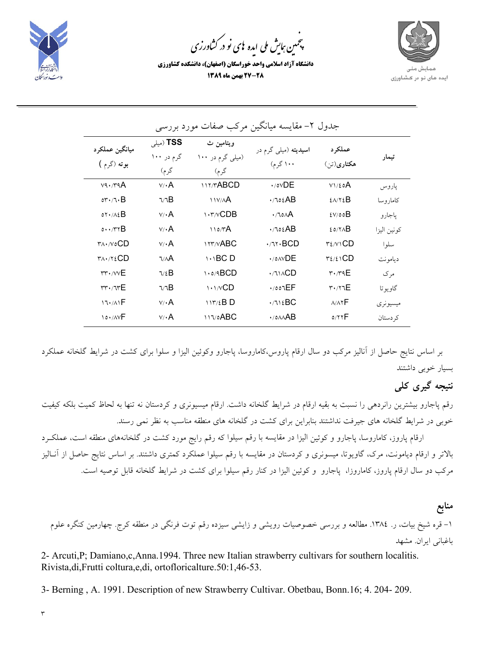

.<br>چمین <sub>ک</sub>ایش ملی ایده <sup>ب</sup>ای نو در کشاورزی ൕह

**دانشگاه آزاد اسلامي واحد خوراسگان (اصفهان)، دانشكده كشاورزي 27-28 بهمن ماه 1389** 



| ميانگين عملکر د                         | (میلی) TSS          | ويتامين ث                                                                                         | <b>اسیدیته</b> (میل <sub>ی</sub> گرم در | عملکر د                                             |             |
|-----------------------------------------|---------------------|---------------------------------------------------------------------------------------------------|-----------------------------------------|-----------------------------------------------------|-------------|
| بوته (گرم )                             | گرم در ۱۰۰<br>گر م) | (میلی گرم در ۱۰۰<br>گرم)                                                                          | ۱۰۰ گرم)                                | هکتاری(تن)                                          | تيمار       |
| $v_9.79A$                               | $v / \cdot A$       | <b>IIT/TABCD</b>                                                                                  | $\cdot$ /o $\vee$ DE                    | V1/E0A                                              | ياروس       |
| $or \cdot \wedge \cdot B$               | ٦/٦B                | N                                                                                                 | ۰/٦٥٤AB                                 | $2\lambda$                                          | كامار و سا  |
| $OY + A\S$                              | $v / \cdot A$       | $\mathcal{N}$ $\mathcal{N}$ $\mathcal{N}$ $\mathcal{N}$ $\mathcal{N}$ $\mathcal{N}$ $\mathcal{N}$ | $\cdot$ $\sim$ $\sim$ $\sim$ $\sim$     | 2V/00B                                              | پاجارو      |
| 0.1.77B                                 | $V / \cdot A$       | ۱۱۵/۳A                                                                                            | $\cdot$ / $\circ$ $\iota$ AB            | <b>EDITAB</b>                                       | كونين اليزا |
| $\forall \lambda \cdot \wedge \circ CD$ | $v / \cdot A$       | <b>ITT/VABC</b>                                                                                   | $\cdot$ /٦٢ $\cdot$ BCD                 | $\mathcal{Y} \in \mathcal{N} \setminus \mathbf{CD}$ | سلوا        |
| $T_A \cdot / Y \in CD$                  | ٦/٨A                | $\bigcup$ BC D                                                                                    | $\cdot$ / $\circ$ $\wedge$ $\vee$ DE    |                                                     | ديامونت     |
| $rr \cdot / \sqrt{E}$                   | $\nabla/E$          | 1.0/9BCD                                                                                          | $\cdot$ $\wedge$ $\wedge$ $CD$          | $\mathsf{r}\cdot\mathsf{r}\cdot\mathsf{r}\in$       | مر ک        |
| $rr \cdot \pi rE$                       | ٦/٦B                | $\binom{1}{1}$                                                                                    | $\cdot$ /007 $EF$                       | $\mathsf{r} \cdot \mathsf{r} \cdot \mathsf{r} \in$  | گاويو تا    |
| 17.71F                                  | $V/\cdot A$         | $117/2B$ D                                                                                        | .715BC                                  | A/AYF                                               | میسیو نر ی  |
|                                         | $v / \cdot A$       | $117/0$ ABC                                                                                       | $\cdot$ / $\triangle A$ B               | 0/77F                                               | کہ دستان    |

### جدول ۲– مقايسه ميانگين مركب صفات مورد بررسي

بر اساس نتايج حاصل از آناليز مركب دو سال ارقام پاروس،كاماروسا، پاجارو وكوئين اليزا و سلوا براي كشت در شرايط گلخانه عملكرد بسيار خوبي داشتند

# **نتيجه گيري كلي**

رقم پاجارو بيشترين رانردهي را نسبت به بقيه ارقام در شرايط گلخانه داشت. ارقام ميسيونري و كردستان نه تنها به لحاظ كميت بلكه كيفيت خوبي در شرايط گلخانه هاي جيرفت نداشتند بنابراين براي كشت در گلخانه هاي منطقه مناسب به نظر نمي رسند.

ارقام پاروز، كاماروسا، پاجارو و كوئين اليزا در مقايسه با رقم سيلوا كه رقم رايج مورد كشت در گلخانههاي منطقه است، عملكـرد بالاتر و ارقام ديامونت، مرك، گاويوتا، ميسونري و كردستان در مقايسه با رقم سيلوا عملكرد كمتري داشتند. بر اساس نتايج حاصل از آنـاليز مركب دو سال ارقام پاروز، كاماروزا، پاجارو و كوئين اليزا در كنار رقم سيلوا براي كشت در شرايط گلخانه قابل توصيه است.

**منابع** -1 قره شيخ بيات، ر. .1384 مطالعه و بررسي خصوصيات رويشي و زايشي سيزده رقم توت فرنگي در منطقه كرج. چهارمين كنگره علوم باغباني ايران. مشهد

2- Arcuti,P; Damiano,c,Anna.1994. Three new Italian strawberry cultivars for southern localitis. Rivista,di,Frutti coltura,e,di, ortofloricalture.50:1,46-53.

3- Berning , A. 1991. Description of new Strawberry Cultivar. Obetbau, Bonn.16; 4. 204- 209.